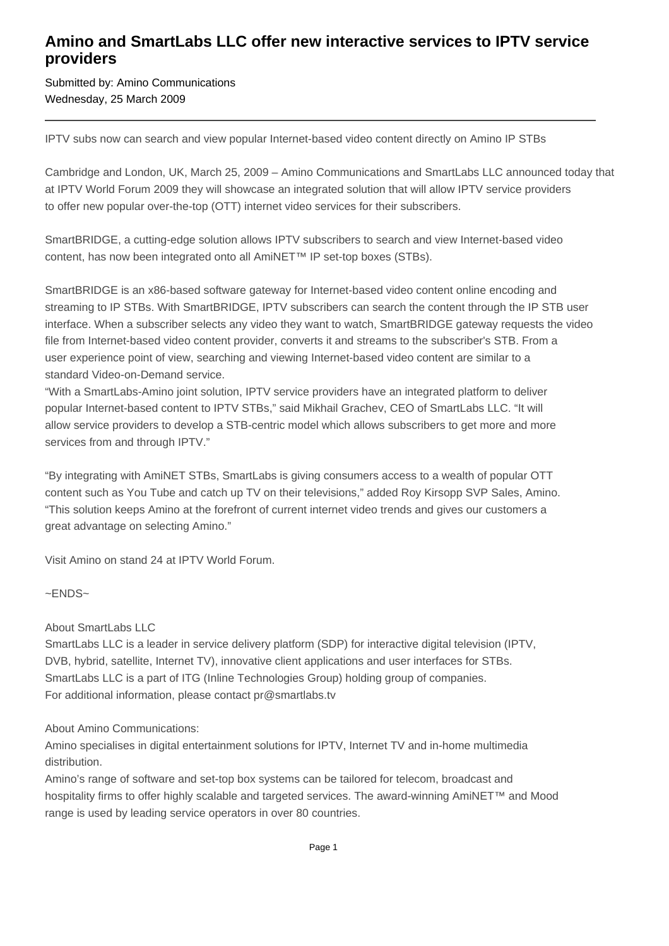## **Amino and SmartLabs LLC offer new interactive services to IPTV service providers**

Submitted by: Amino Communications Wednesday, 25 March 2009

IPTV subs now can search and view popular Internet-based video content directly on Amino IP STBs

Cambridge and London, UK, March 25, 2009 – Amino Communications and SmartLabs LLC announced today that at IPTV World Forum 2009 they will showcase an integrated solution that will allow IPTV service providers to offer new popular over-the-top (OTT) internet video services for their subscribers.

SmartBRIDGE, a cutting-edge solution allows IPTV subscribers to search and view Internet-based video content, has now been integrated onto all AmiNET™ IP set-top boxes (STBs).

SmartBRIDGE is an x86-based software gateway for Internet-based video content online encoding and streaming to IP STBs. With SmartBRIDGE, IPTV subscribers can search the content through the IP STB user interface. When a subscriber selects any video they want to watch, SmartBRIDGE gateway requests the video file from Internet-based video content provider, converts it and streams to the subscriber's STB. From a user experience point of view, searching and viewing Internet-based video content are similar to a standard Video-on-Demand service.

"With a SmartLabs-Amino joint solution, IPTV service providers have an integrated platform to deliver popular Internet-based content to IPTV STBs," said Mikhail Grachev, CEO of SmartLabs LLC. "It will allow service providers to develop a STB-centric model which allows subscribers to get more and more services from and through IPTV."

"By integrating with AmiNET STBs, SmartLabs is giving consumers access to a wealth of popular OTT content such as You Tube and catch up TV on their televisions," added Roy Kirsopp SVP Sales, Amino. "This solution keeps Amino at the forefront of current internet video trends and gives our customers a great advantage on selecting Amino."

Visit Amino on stand 24 at IPTV World Forum.

~ENDS~

About SmartLabs LLC

SmartLabs LLC is a leader in service delivery platform (SDP) for interactive digital television (IPTV, DVB, hybrid, satellite, Internet TV), innovative client applications and user interfaces for STBs. SmartLabs LLC is a part of ITG (Inline Technologies Group) holding group of companies. For additional information, please contact pr@smartlabs.tv

About Amino Communications:

Amino specialises in digital entertainment solutions for IPTV, Internet TV and in-home multimedia distribution.

Amino's range of software and set-top box systems can be tailored for telecom, broadcast and hospitality firms to offer highly scalable and targeted services. The award-winning AmiNET™ and Mood range is used by leading service operators in over 80 countries.